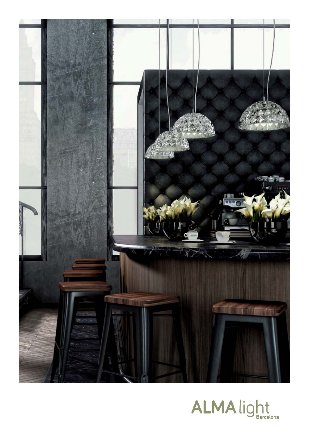

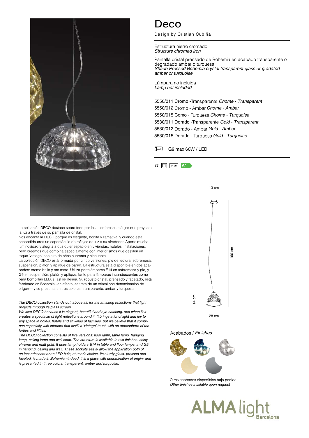

La colección DECO destaca sobre todo por los asombrosos reflejos que proyecta la luz a través de su pantalla de cristal.

Nos encanta la DECO porque es elegante, bonita y llamativa, y cuando está encendida crea un espectáculo de reflejos de luz a su alrededor. Aporta mucha luminosidad y alegría a cualquier espacio en viviendas, hoteles, instalaciones, pero creemos que combina especialmente con interiorismos que destilen un toque 'vintage' con aire de años cuarenta y cincuenta.

La colección DECO está formada por cinco versiones: pie de lectura, sobremesa, suspensión, plafón y aplique de pared. La estructura está disponible en dos acabados: cromo brillo y oro mate. Utiliza portalámparas E14 en sobremesa y pie, y G9 en suspensión, plafón y aplique, tanto para lámparas incandescentes como para bombillas LED, si así se desea. Su robusto cristal, prensado y facetado, está fabricado en Bohemia -en efecto, se trata de un cristal con denominación de origen- y se presenta en tres colores: transparente, ámbar y turquesa.

## The DECO collection stands out, above all, for the amazing reflections that light projects through its glass screen.

We love DECO because it is elegant, beautiful and eye-catching, and when lit it creates a spectacle of light reflections around it. It brings a lot of light and joy to any space in hotels, hotels and all kinds of facilities, but we believe that it combines especially with interiors that distill a 'vintage' touch with an atmosphere of the forties and fifties

The DECO collection consists of five versions: floor lamp, table lamp, hanging lamp, ceiling lamp and wall lamp. The structure is available in two finishes: shiny chrome and matt gold. It uses lamp holders E14 in table and floor lamps, and G9 in hanging, ceiling and wall. These sockets easily allow the application both of an incandescent or an LED bulb, at user's choice. Its sturdy glass, pressed and faceted, is made in Bohemia –indeed, it is a glass with denomination of origin- and is presented in three colors: transparent, amber and turquoise.

## Deco

Design by Cristian Cubiñá

Estructura hierro cromado Structure chromed iron

Pantalla cristal prensado de Bohemia en acabado transparente o degradado ámbar o turquesa Shade Pressed Bohemia crystal transparent glass or gradated amber or turquoise

Lámpara no incluida Lamp not included

5550/011 Cromo - Transparente Chome - Transparent 5550/012 Cromo - Ambar Chome - Amber 5550/015 Como - Turquesa Chome - Turquoise 5530/011 Dorado - Transparente Gold - Transparent 5530/012 Dorado - Ambar Gold - Amber 5530/015 Dorado - Turquesa Gold - Turquoise

G9 max 60W / LED





Acabados / Finishes



Otros acabados disponibles bajo pedido Other finishes available upon request